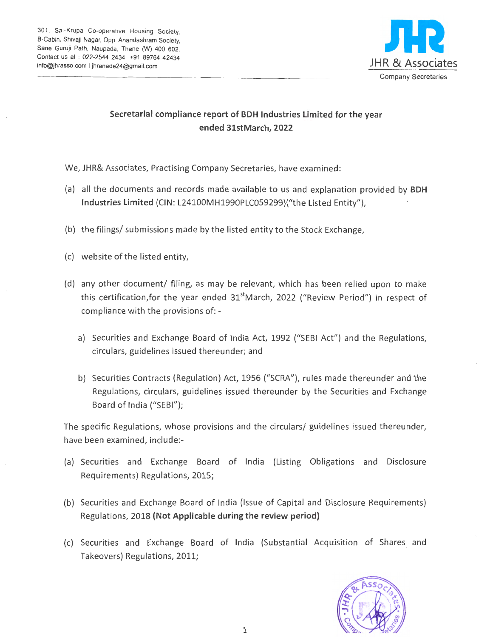301, Sai-Krupa Co-operative Housing Society, B-Cabin, Shivaji Nagar, Opp. Anandashram Society, Sane Guruji Path, Naupada, Thane (W) 400 602. Contact us at : 022-2544 2434, +91 89764 42434 info@jhrasso.com | jhranade24@gmail.com J H R & ASSOCIateS



## Secretarial compliance report of BDH Industries Limited for the year ended 3lstMarch, 2022

We, JHR& Associates, Practising Company Secretaries, have examined:

- (a) all the documents and records made available to us and explanation provided by BDH Industries Limited (CIN: L24100MH1990PLC059299)("the Listed Entity"),
- (b) the filings/ submissions made by the listed entity to the Stock Exchange,
- (c) website of the listed entity,
- (d) any other document/ filing, as may be relevant, which has been relied upon to make this certification, for the year ended  $31<sup>st</sup>$ March, 2022 ("Review Period") in respect of compliance with the provisions of:
	- a) Securities and Exchange Board of India *Act,* 1992 ("SEBI Act") and the Regulations, circulars, guidelines issued thereunder; and
	- b) Securities Contracts (Regulation) *Act,* 1956 ("SCRA"), rules made thereunder and the Regulations, circulars, guidelines issued thereunder by the Securities and Exchange Board of India ("SEBI");

The specific Regulations, whose provisions and the circulars/ guidelines issued thereunder, have been examined, include:-

- (a) Securities and Exchange Board of India (Listing Obligations and Disclosure Requirements) Regulations, 2015;
- (b) Securities and Exchange Board of India (Issue of Capital and Disclosure Requirements) Regulations, 2018 (Not Applicable during the review period)
- (c) Securities and Exchange Board of India (Substantial Acquisition of Shares and Takeovers) Regulations, 2011;

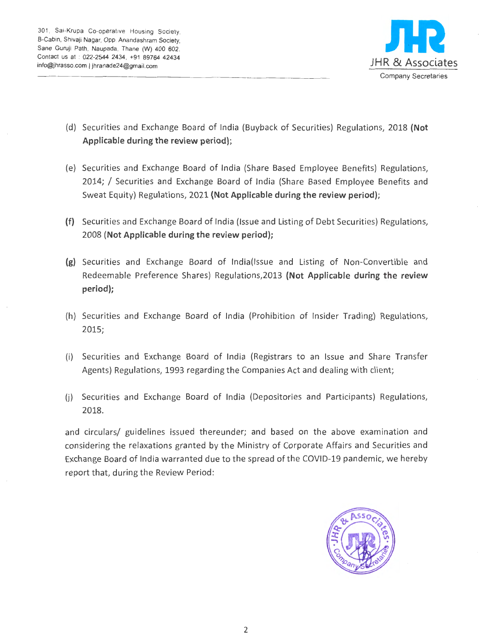

- (d) Securities and Exchange Board of India (Buyback of Securities) Regulations, 2018 (Not Applicable during the review period);
- (e) Securities and Exchange Board of India (Share Based Employee Benefits) Regulations, 2014; I Securities and Exchange Board of India (Share Based Employee Benefits and Sweat Equity) Regulations, 2021 (Not Applicable during the review period);
- (f) Securities and Exchange Board of India (Issue and Listing of Debt Securities) Regulations, 2008 (Not Applicable during the review period);
- (g) Securities and Exchange Board of lndia(lssue and Listing of Non-Convertible and Redeemable Preference Shares) Regulations,2013 (Not Applicable during the review period);
- (h) Securities and Exchange Board of India (Prohibition of Insider Trading) Regulations, 2015;
- (i) Securities and Exchange Board of India (Registrars to an Issue and Share Transfer Agents) Regulations, 1993 regarding the Companies Act and dealing with client;
- (j) Securities and Exchange Board of India (Depositories and Participants) Regulations, 2018.

and circulars/ guidelines issued thereunder; and based on the above examination and considering the relaxations granted by the Ministry of Corporate Affairs and Securities and Exchange Board of India warranted due to the spread of the COVID-19 pandemic, we hereby report that, during the Review Period:

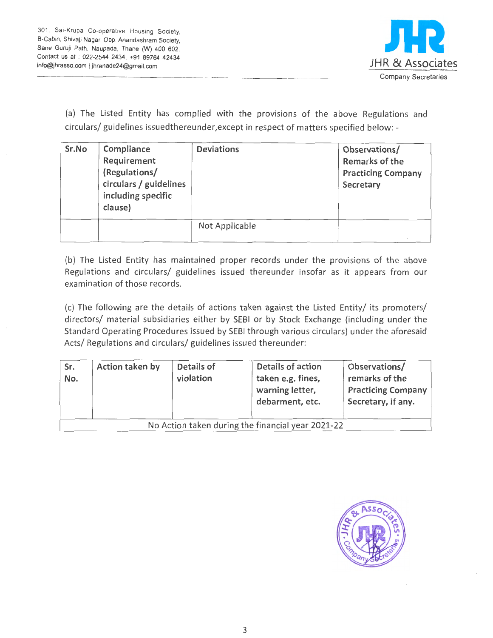

(a) The Listed Entity has complied with the provisions of the above Regulations and circulars/ guidelines issuedthereunder,except in respect of matters specified below: -

| Sr.No | Compliance<br>Requirement<br>(Regulations/<br>circulars / guidelines<br>including specific<br>clause) | <b>Deviations</b> | Observations/<br>Remarks of the<br><b>Practicing Company</b><br>Secretary |
|-------|-------------------------------------------------------------------------------------------------------|-------------------|---------------------------------------------------------------------------|
|       |                                                                                                       | Not Applicable    |                                                                           |

(b) The Listed Entity has maintained proper records under the provisions of the above Regulations and circulars/ guidelines issued thereunder insofar as it appears from our examination of those records.

(c) The following are the details of actions taken against the Listed Entity/ its promoters/ directors/ material subsidiaries either by SEBI or by Stock Exchange (including under the Standard Operating Procedures issued by SEBI through various circulars) under the aforesaid Acts/ Regulations and circulars/ guidelines issued thereunder:

| Sr.<br>No.                                        | Action taken by | Details of<br>violation | <b>Details of action</b><br>taken e.g. fines,<br>warning letter,<br>debarment, etc. | Observations/<br>remarks of the<br><b>Practicing Company</b><br>Secretary, if any. |  |  |
|---------------------------------------------------|-----------------|-------------------------|-------------------------------------------------------------------------------------|------------------------------------------------------------------------------------|--|--|
| No Action taken during the financial year 2021-22 |                 |                         |                                                                                     |                                                                                    |  |  |